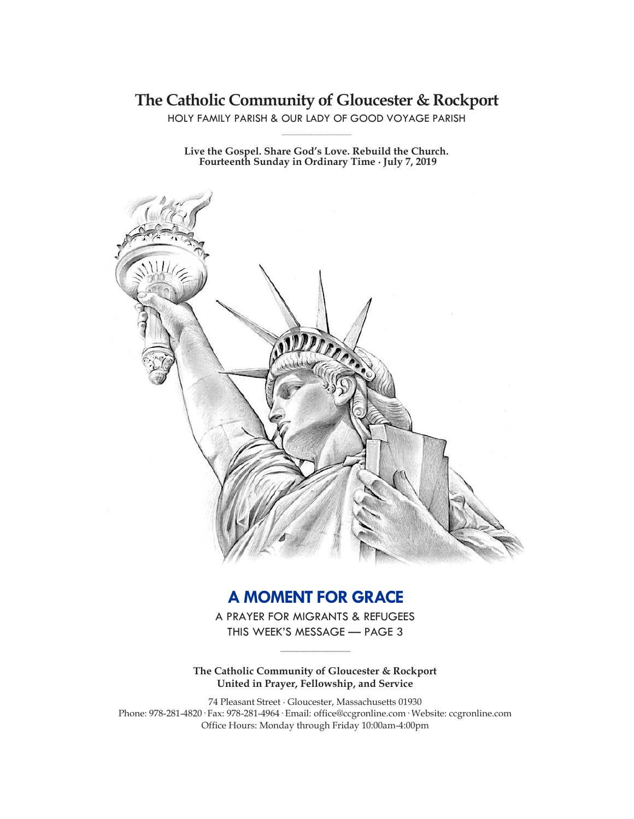# **The Catholic Community of Gloucester & Rockport**

HOLY FAMILY PARISH & OUR LADY OF GOOD VOYAGE PARISH **\_\_\_\_\_\_\_\_\_\_\_\_\_\_\_\_\_\_\_\_\_\_\_\_\_\_\_\_\_**

**Live the Gospel. Share God's Love. Rebuild the Church. Fourteenth Sunday in Ordinary Time ∙ July 7, 2019**



# **A MOMENT FOR GRACE**

A PRAYER FOR MIGRANTS & REFUGEES THIS WEEK'S MESSAGE — PAGE 3

**\_\_\_\_\_\_\_\_\_\_\_\_\_\_\_\_\_\_\_\_\_\_\_\_\_\_\_\_\_**

**The Catholic Community of Gloucester & Rockport United in Prayer, Fellowship, and Service**

74 Pleasant Street ∙ Gloucester, Massachusetts 01930 Phone: 978-281-4820· Fax: 978-281-4964· Email: office@ccgronline.com· Website: ccgronline.com Office Hours: Monday through Friday 10:00am-4:00pm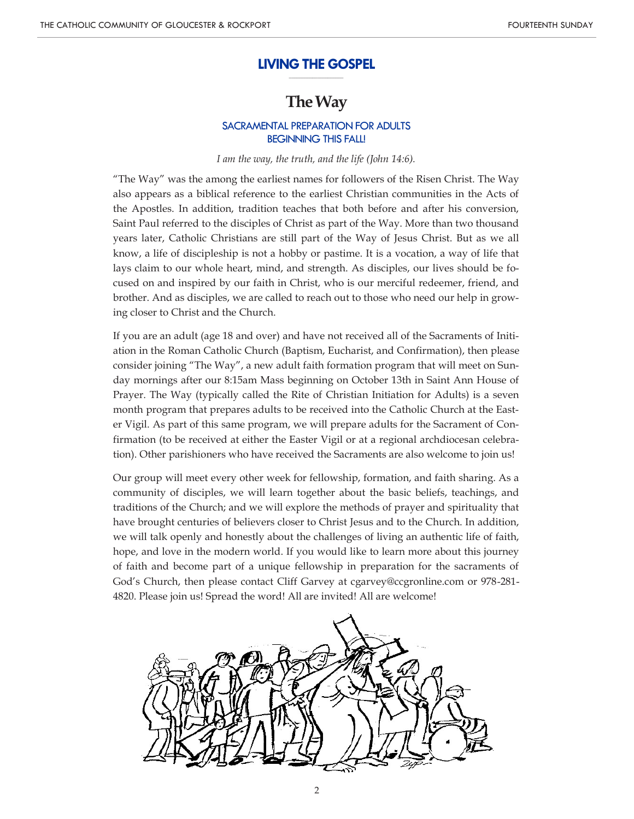#### **LIVING THE GOSPEL \_\_\_\_\_\_\_\_\_\_\_\_\_\_\_\_\_\_\_\_\_**

# **The Way**

## SACRAMENTAL PREPARATION FOR ADULTS BEGINNING THIS FALL!

#### *I am the way, the truth, and the life (John 14:6).*

"The Way" was the among the earliest names for followers of the Risen Christ. The Way also appears as a biblical reference to the earliest Christian communities in the Acts of the Apostles. In addition, tradition teaches that both before and after his conversion, Saint Paul referred to the disciples of Christ as part of the Way. More than two thousand years later, Catholic Christians are still part of the Way of Jesus Christ. But as we all know, a life of discipleship is not a hobby or pastime. It is a vocation, a way of life that lays claim to our whole heart, mind, and strength. As disciples, our lives should be focused on and inspired by our faith in Christ, who is our merciful redeemer, friend, and brother. And as disciples, we are called to reach out to those who need our help in growing closer to Christ and the Church.

If you are an adult (age 18 and over) and have not received all of the Sacraments of Initiation in the Roman Catholic Church (Baptism, Eucharist, and Confirmation), then please consider joining "The Way", a new adult faith formation program that will meet on Sunday mornings after our 8:15am Mass beginning on October 13th in Saint Ann House of Prayer. The Way (typically called the Rite of Christian Initiation for Adults) is a seven month program that prepares adults to be received into the Catholic Church at the Easter Vigil. As part of this same program, we will prepare adults for the Sacrament of Confirmation (to be received at either the Easter Vigil or at a regional archdiocesan celebration). Other parishioners who have received the Sacraments are also welcome to join us!

Our group will meet every other week for fellowship, formation, and faith sharing. As a community of disciples, we will learn together about the basic beliefs, teachings, and traditions of the Church; and we will explore the methods of prayer and spirituality that have brought centuries of believers closer to Christ Jesus and to the Church. In addition, we will talk openly and honestly about the challenges of living an authentic life of faith, hope, and love in the modern world. If you would like to learn more about this journey of faith and become part of a unique fellowship in preparation for the sacraments of God's Church, then please contact Cliff Garvey at cgarvey@ccgronline.com or 978-281- 4820. Please join us! Spread the word! All are invited! All are welcome!

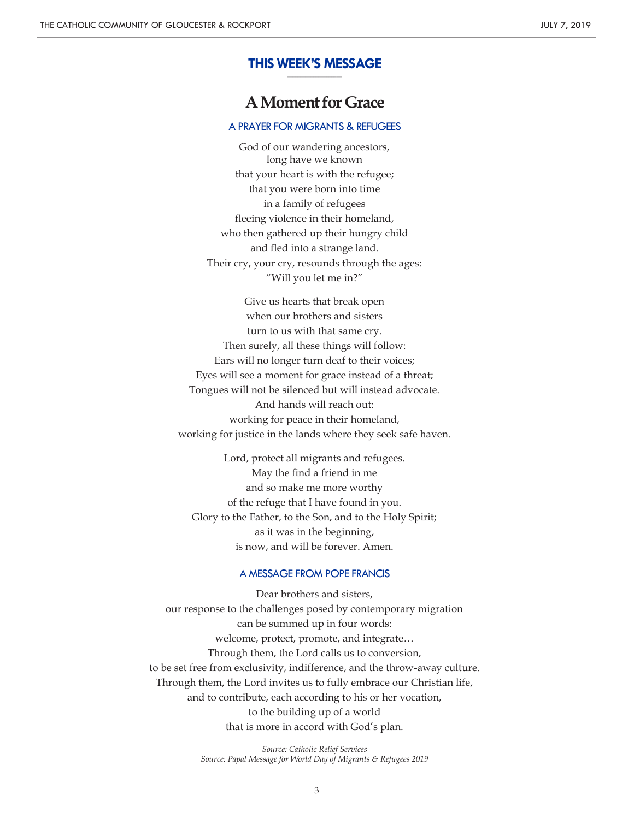#### **THIS WEEK'S MESSAGE \_\_\_\_\_\_\_\_\_\_\_\_\_\_\_\_\_\_\_\_\_**

# **A Moment for Grace**

## A PRAYER FOR MIGRANTS & REFUGEES

God of our wandering ancestors, long have we known that your heart is with the refugee; that you were born into time in a family of refugees fleeing violence in their homeland, who then gathered up their hungry child and fled into a strange land. Their cry, your cry, resounds through the ages: "Will you let me in?"

Give us hearts that break open when our brothers and sisters turn to us with that same cry. Then surely, all these things will follow: Ears will no longer turn deaf to their voices; Eyes will see a moment for grace instead of a threat; Tongues will not be silenced but will instead advocate. And hands will reach out: working for peace in their homeland, working for justice in the lands where they seek safe haven.

Lord, protect all migrants and refugees. May the find a friend in me and so make me more worthy of the refuge that I have found in you. Glory to the Father, to the Son, and to the Holy Spirit; as it was in the beginning, is now, and will be forever. Amen.

#### A MESSAGE FROM POPE FRANCIS

Dear brothers and sisters, our response to the challenges posed by contemporary migration can be summed up in four words: welcome, protect, promote, and integrate… Through them, the Lord calls us to conversion, to be set free from exclusivity, indifference, and the throw-away culture. Through them, the Lord invites us to fully embrace our Christian life, and to contribute, each according to his or her vocation, to the building up of a world that is more in accord with God's plan.

> *Source: Catholic Relief Services Source: Papal Message for World Day of Migrants & Refugees 2019*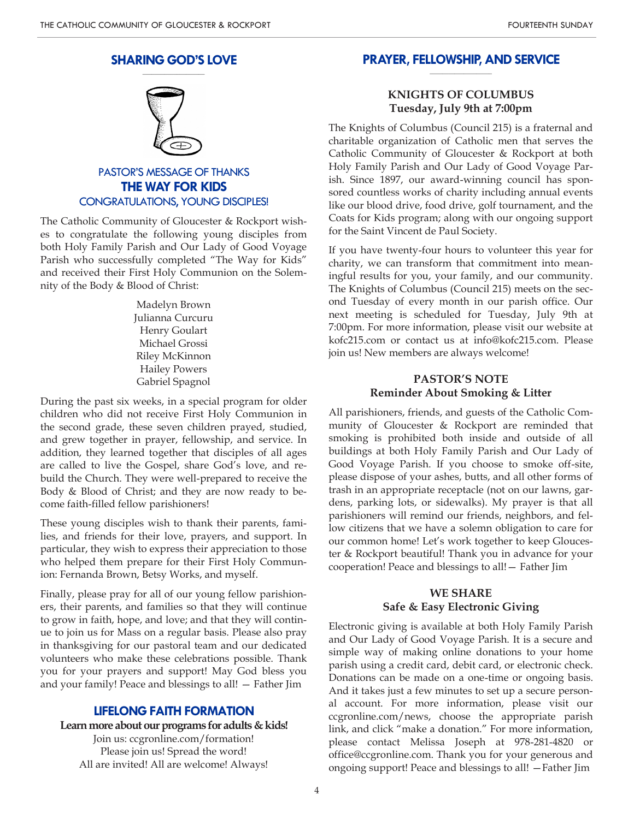#### **SHARING GOD'S LOVE \_\_\_\_\_\_\_\_\_\_\_\_\_\_\_\_\_\_\_\_**



# PASTOR'S MESSAGE OF THANKS **THE WAY FOR KIDS** CONGRATULATIONS, YOUNG DISCIPLES!

The Catholic Community of Gloucester & Rockport wishes to congratulate the following young disciples from both Holy Family Parish and Our Lady of Good Voyage Parish who successfully completed "The Way for Kids" and received their First Holy Communion on the Solemnity of the Body & Blood of Christ:

> Madelyn Brown Julianna Curcuru Henry Goulart Michael Grossi Riley McKinnon Hailey Powers Gabriel Spagnol

During the past six weeks, in a special program for older children who did not receive First Holy Communion in the second grade, these seven children prayed, studied, and grew together in prayer, fellowship, and service. In addition, they learned together that disciples of all ages are called to live the Gospel, share God's love, and rebuild the Church. They were well-prepared to receive the Body & Blood of Christ; and they are now ready to become faith-filled fellow parishioners!

These young disciples wish to thank their parents, families, and friends for their love, prayers, and support. In particular, they wish to express their appreciation to those who helped them prepare for their First Holy Communion: Fernanda Brown, Betsy Works, and myself.

Finally, please pray for all of our young fellow parishioners, their parents, and families so that they will continue to grow in faith, hope, and love; and that they will continue to join us for Mass on a regular basis. Please also pray in thanksgiving for our pastoral team and our dedicated volunteers who make these celebrations possible. Thank you for your prayers and support! May God bless you and your family! Peace and blessings to all! — Father Jim

### **LIFELONG FAITH FORMATION**

**Learn more about our programs for adults & kids!** Join us: ccgronline.com/formation! Please join us! Spread the word! All are invited! All are welcome! Always!

#### **PRAYER, FELLOWSHIP, AND SERVICE \_\_\_\_\_\_\_\_\_\_\_\_\_\_\_\_\_\_\_\_**

## **KNIGHTS OF COLUMBUS Tuesday, July 9th at 7:00pm**

The Knights of Columbus (Council 215) is a fraternal and charitable organization of Catholic men that serves the Catholic Community of Gloucester & Rockport at both Holy Family Parish and Our Lady of Good Voyage Parish. Since 1897, our award-winning council has sponsored countless works of charity including annual events like our blood drive, food drive, golf tournament, and the Coats for Kids program; along with our ongoing support for the Saint Vincent de Paul Society.

If you have twenty-four hours to volunteer this year for charity, we can transform that commitment into meaningful results for you, your family, and our community. The Knights of Columbus (Council 215) meets on the second Tuesday of every month in our parish office. Our next meeting is scheduled for Tuesday, July 9th at 7:00pm. For more information, please visit our website at kofc215.com or contact us at info@kofc215.com. Please join us! New members are always welcome!

## **PASTOR'S NOTE Reminder About Smoking & Litter**

All parishioners, friends, and guests of the Catholic Community of Gloucester & Rockport are reminded that smoking is prohibited both inside and outside of all buildings at both Holy Family Parish and Our Lady of Good Voyage Parish. If you choose to smoke off-site, please dispose of your ashes, butts, and all other forms of trash in an appropriate receptacle (not on our lawns, gardens, parking lots, or sidewalks). My prayer is that all parishioners will remind our friends, neighbors, and fellow citizens that we have a solemn obligation to care for our common home! Let's work together to keep Gloucester & Rockport beautiful! Thank you in advance for your cooperation! Peace and blessings to all!— Father Jim

### **WE SHARE Safe & Easy Electronic Giving**

Electronic giving is available at both Holy Family Parish and Our Lady of Good Voyage Parish. It is a secure and simple way of making online donations to your home parish using a credit card, debit card, or electronic check. Donations can be made on a one-time or ongoing basis. And it takes just a few minutes to set up a secure personal account. For more information, please visit our ccgronline.com/news, choose the appropriate parish link, and click "make a donation." For more information, please contact Melissa Joseph at 978-281-4820 or office@ccgronline.com. Thank you for your generous and ongoing support! Peace and blessings to all! —Father Jim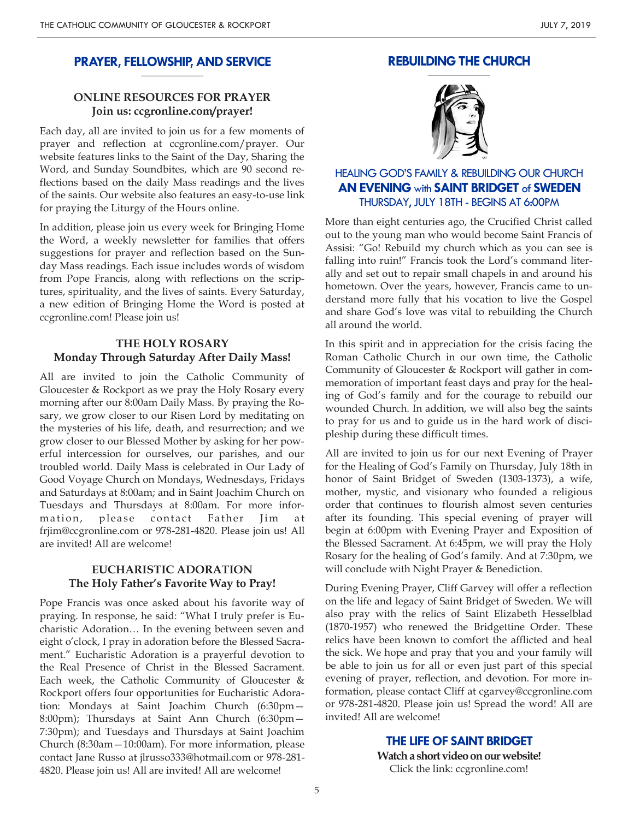#### **PRAYER, FELLOWSHIP, AND SERVICE \_\_\_\_\_\_\_\_\_\_\_\_\_\_\_\_\_\_\_\_**

# **ONLINE RESOURCES FOR PRAYER Join us: ccgronline.com/prayer!**

Each day, all are invited to join us for a few moments of prayer and reflection at ccgronline.com/prayer. Our website features links to the Saint of the Day, Sharing the Word, and Sunday Soundbites, which are 90 second reflections based on the daily Mass readings and the lives of the saints. Our website also features an easy-to-use link for praying the Liturgy of the Hours online.

In addition, please join us every week for Bringing Home the Word, a weekly newsletter for families that offers suggestions for prayer and reflection based on the Sunday Mass readings. Each issue includes words of wisdom from Pope Francis, along with reflections on the scriptures, spirituality, and the lives of saints. Every Saturday, a new edition of Bringing Home the Word is posted at ccgronline.com! Please join us!

## **THE HOLY ROSARY Monday Through Saturday After Daily Mass!**

All are invited to join the Catholic Community of Gloucester & Rockport as we pray the Holy Rosary every morning after our 8:00am Daily Mass. By praying the Rosary, we grow closer to our Risen Lord by meditating on the mysteries of his life, death, and resurrection; and we grow closer to our Blessed Mother by asking for her powerful intercession for ourselves, our parishes, and our troubled world. Daily Mass is celebrated in Our Lady of Good Voyage Church on Mondays, Wednesdays, Fridays and Saturdays at 8:00am; and in Saint Joachim Church on Tuesdays and Thursdays at 8:00am. For more information, please contact Father Jim at frjim@ccgronline.com or 978-281-4820. Please join us! All are invited! All are welcome!

## **EUCHARISTIC ADORATION The Holy Father's Favorite Way to Pray!**

Pope Francis was once asked about his favorite way of praying. In response, he said: "What I truly prefer is Eucharistic Adoration… In the evening between seven and eight o'clock, I pray in adoration before the Blessed Sacrament." Eucharistic Adoration is a prayerful devotion to the Real Presence of Christ in the Blessed Sacrament. Each week, the Catholic Community of Gloucester & Rockport offers four opportunities for Eucharistic Adoration: Mondays at Saint Joachim Church (6:30pm— 8:00pm); Thursdays at Saint Ann Church (6:30pm— 7:30pm); and Tuesdays and Thursdays at Saint Joachim Church (8:30am—10:00am). For more information, please contact Jane Russo at jlrusso333@hotmail.com or 978-281- 4820. Please join us! All are invited! All are welcome!

## **REBUILDING THE CHURCH**



# HEALING GOD'S FAMILY & REBUILDING OUR CHURCH **AN EVENING** with **SAINT BRIDGET** of **SWEDEN** THURSDAY, JULY 18TH - BEGINS AT 6:00PM

More than eight centuries ago, the Crucified Christ called out to the young man who would become Saint Francis of Assisi: "Go! Rebuild my church which as you can see is falling into ruin!" Francis took the Lord's command literally and set out to repair small chapels in and around his hometown. Over the years, however, Francis came to understand more fully that his vocation to live the Gospel and share God's love was vital to rebuilding the Church all around the world.

In this spirit and in appreciation for the crisis facing the Roman Catholic Church in our own time, the Catholic Community of Gloucester & Rockport will gather in commemoration of important feast days and pray for the healing of God's family and for the courage to rebuild our wounded Church. In addition, we will also beg the saints to pray for us and to guide us in the hard work of discipleship during these difficult times.

All are invited to join us for our next Evening of Prayer for the Healing of God's Family on Thursday, July 18th in honor of Saint Bridget of Sweden (1303-1373), a wife, mother, mystic, and visionary who founded a religious order that continues to flourish almost seven centuries after its founding. This special evening of prayer will begin at 6:00pm with Evening Prayer and Exposition of the Blessed Sacrament. At 6:45pm, we will pray the Holy Rosary for the healing of God's family. And at 7:30pm, we will conclude with Night Prayer & Benediction.

During Evening Prayer, Cliff Garvey will offer a reflection on the life and legacy of Saint Bridget of Sweden. We will also pray with the relics of Saint Elizabeth Hesselblad (1870-1957) who renewed the Bridgettine Order. These relics have been known to comfort the afflicted and heal the sick. We hope and pray that you and your family will be able to join us for all or even just part of this special evening of prayer, reflection, and devotion. For more information, please contact Cliff at cgarvey@ccgronline.com or 978-281-4820. Please join us! Spread the word! All are invited! All are welcome!

> **THE LIFE OF SAINT BRIDGET Watch a short video on our website!** Click the link: ccgronline.com!